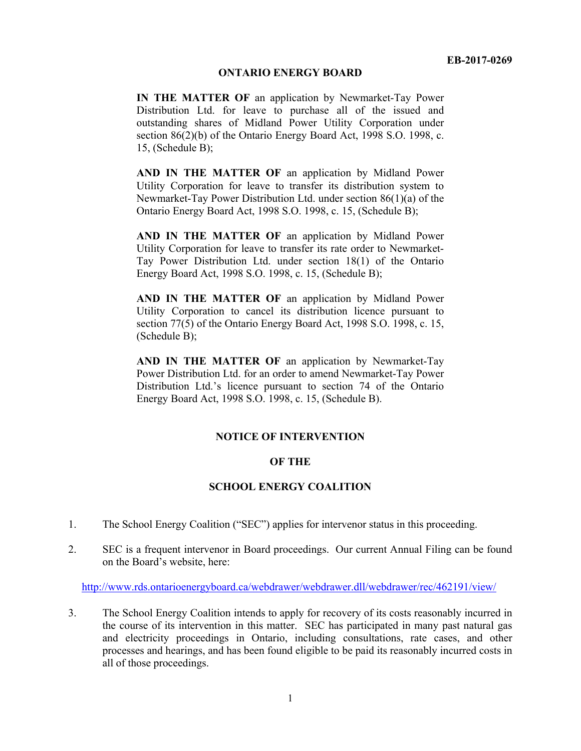#### **ONTARIO ENERGY BOARD**

**IN THE MATTER OF** an application by Newmarket-Tay Power Distribution Ltd. for leave to purchase all of the issued and outstanding shares of Midland Power Utility Corporation under section 86(2)(b) of the Ontario Energy Board Act, 1998 S.O. 1998, c. 15, (Schedule B);

**AND IN THE MATTER OF** an application by Midland Power Utility Corporation for leave to transfer its distribution system to Newmarket-Tay Power Distribution Ltd. under section 86(1)(a) of the Ontario Energy Board Act, 1998 S.O. 1998, c. 15, (Schedule B);

**AND IN THE MATTER OF** an application by Midland Power Utility Corporation for leave to transfer its rate order to Newmarket-Tay Power Distribution Ltd. under section 18(1) of the Ontario Energy Board Act, 1998 S.O. 1998, c. 15, (Schedule B);

**AND IN THE MATTER OF** an application by Midland Power Utility Corporation to cancel its distribution licence pursuant to section 77(5) of the Ontario Energy Board Act, 1998 S.O. 1998, c. 15, (Schedule B);

**AND IN THE MATTER OF** an application by Newmarket-Tay Power Distribution Ltd. for an order to amend Newmarket-Tay Power Distribution Ltd.'s licence pursuant to section 74 of the Ontario Energy Board Act, 1998 S.O. 1998, c. 15, (Schedule B).

### **NOTICE OF INTERVENTION**

### **OF THE**

### **SCHOOL ENERGY COALITION**

- 1. The School Energy Coalition ("SEC") applies for intervenor status in this proceeding.
- 2. SEC is a frequent intervenor in Board proceedings. Our current Annual Filing can be found on the Board's website, here:

http://www.rds.ontarioenergyboard.ca/webdrawer/webdrawer.dll/webdrawer/rec/462191/view/

3. The School Energy Coalition intends to apply for recovery of its costs reasonably incurred in the course of its intervention in this matter. SEC has participated in many past natural gas and electricity proceedings in Ontario, including consultations, rate cases, and other processes and hearings, and has been found eligible to be paid its reasonably incurred costs in all of those proceedings.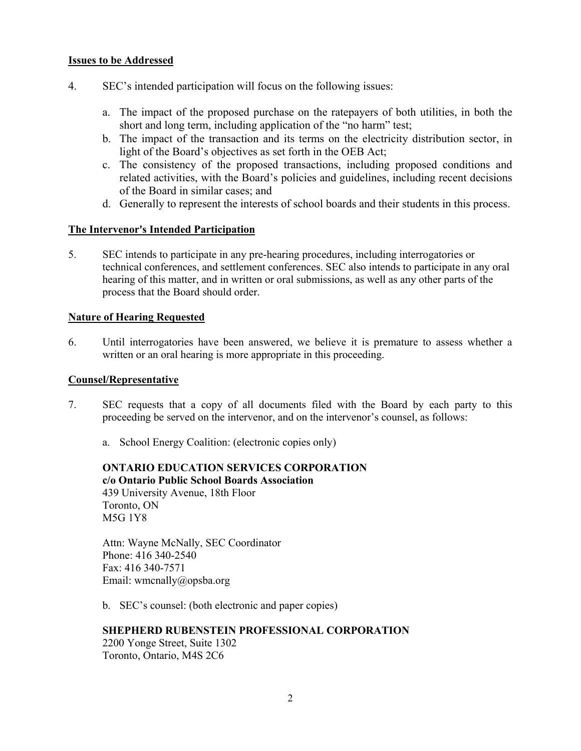## **Issues to be Addressed**

- 4. SEC's intended participation will focus on the following issues:
	- a. The impact of the proposed purchase on the ratepayers of both utilities, in both the short and long term, including application of the "no harm" test;
	- b. The impact of the transaction and its terms on the electricity distribution sector, in light of the Board's objectives as set forth in the OEB Act;
	- c. The consistency of the proposed transactions, including proposed conditions and related activities, with the Board's policies and guidelines, including recent decisions of the Board in similar cases; and
	- d. Generally to represent the interests of school boards and their students in this process.

# **The Intervenor's Intended Participation**

5. SEC intends to participate in any pre-hearing procedures, including interrogatories or technical conferences, and settlement conferences. SEC also intends to participate in any oral hearing of this matter, and in written or oral submissions, as well as any other parts of the process that the Board should order.

## **Nature of Hearing Requested**

6. Until interrogatories have been answered, we believe it is premature to assess whether a written or an oral hearing is more appropriate in this proceeding.

### **Counsel/Representative**

- 7. SEC requests that a copy of all documents filed with the Board by each party to this proceeding be served on the intervenor, and on the intervenor's counsel, as follows:
	- a. School Energy Coalition: (electronic copies only)

**ONTARIO EDUCATION SERVICES CORPORATION c/o Ontario Public School Boards Association**  439 University Avenue, 18th Floor Toronto, ON M5G 1Y8

Attn: Wayne McNally, SEC Coordinator Phone: 416 340-2540 Fax: 416 340-7571 Email: wmcnally@opsba.org

b. SEC's counsel: (both electronic and paper copies)

### **SHEPHERD RUBENSTEIN PROFESSIONAL CORPORATION**

2200 Yonge Street, Suite 1302 Toronto, Ontario, M4S 2C6